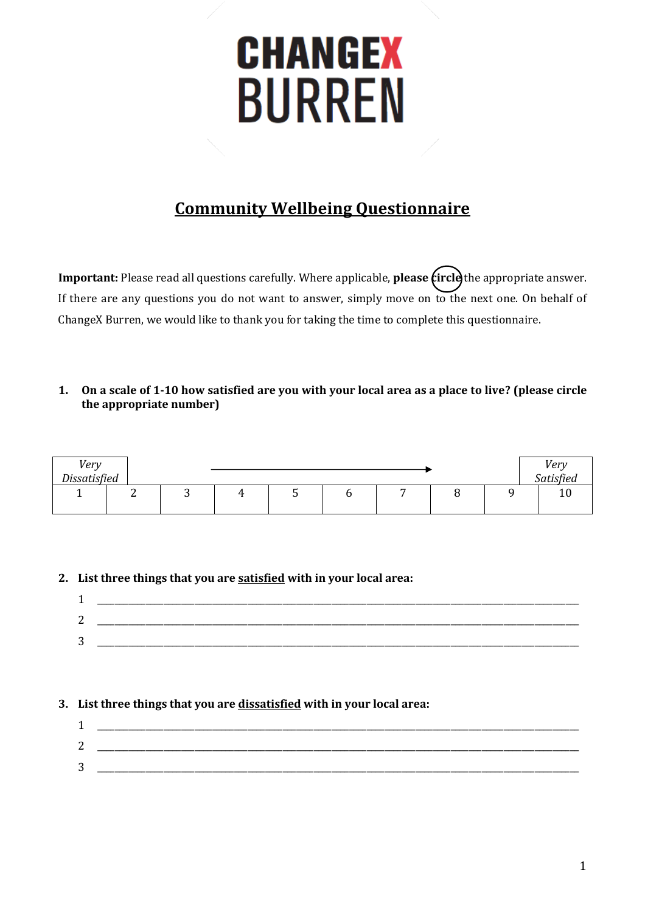# **CHANGEX BURREN**

## **Community Wellbeing Questionnaire**

**Important:** Please read all questions carefully. Where applicable, **please (ircle**) the appropriate answer. If there are any questions you do not want to answer, simply move on to the next one. On behalf of ChangeX Burren, we would like to thank you for taking the time to complete this questionnaire.

#### **1. On a scale of 1-10 how satisfied are you with your local area as a place to live? (please circle the appropriate number)**

| Very         |   |   |  |  |  | Very                 |
|--------------|---|---|--|--|--|----------------------|
| Dissatisfied |   |   |  |  |  | Satisfied            |
|              | - | ັ |  |  |  | $\overline{ }$<br>ΙU |
|              |   |   |  |  |  |                      |

## **2. List three things that you are satisfied with in your local area:**

| ∽<br>↩ |  |
|--------|--|
| ⌒<br>ັ |  |
|        |  |

## **3. List three things that you are dissatisfied with in your local area:**

| ⌒<br>▃ |  |
|--------|--|
| ⌒<br>ບ |  |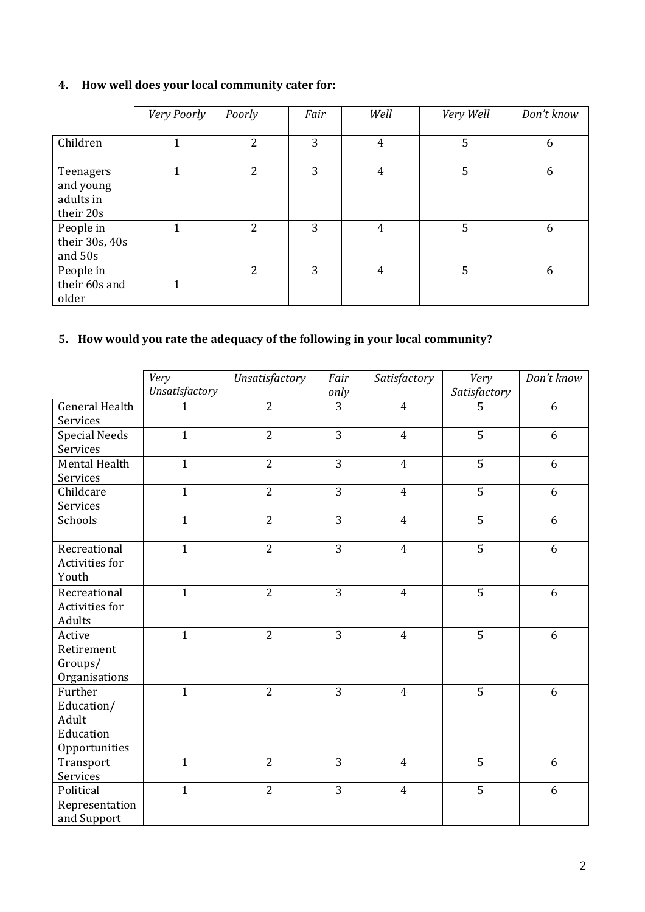## **4. How well does your local community cater for:**

|                                                  | Very Poorly | Poorly         | Fair | Well           | Very Well | Don't know |
|--------------------------------------------------|-------------|----------------|------|----------------|-----------|------------|
| Children                                         |             | $\overline{2}$ | 3    | 4              | 5         | 6          |
| Teenagers<br>and young<br>adults in<br>their 20s |             | 2              | 3    | $\overline{4}$ | 5         | 6          |
| People in<br>their 30s, 40s<br>and 50s           |             | 2              | 3    | $\overline{4}$ | 5         | 6          |
| People in<br>their 60s and<br>older              |             | 2              | 3    | 4              | 5         | 6          |

## **5. How would you rate the adequacy of the following in your local community?**

|                                                              | Very<br>Unsatisfactory | Unsatisfactory | Fair<br>only   | Satisfactory   | Very<br>Satisfactory | Don't know |
|--------------------------------------------------------------|------------------------|----------------|----------------|----------------|----------------------|------------|
| <b>General Health</b><br>Services                            | $\mathbf{1}$           | $\overline{2}$ | 3              | $\overline{4}$ | 5                    | 6          |
| <b>Special Needs</b><br>Services                             | $\mathbf{1}$           | $\overline{2}$ | 3              | $\overline{4}$ | 5                    | 6          |
| Mental Health<br>Services                                    | $\mathbf{1}$           | $\overline{2}$ | $\overline{3}$ | $\overline{4}$ | $\overline{5}$       | 6          |
| Childcare<br>Services                                        | $\mathbf{1}$           | $\overline{2}$ | 3              | $\overline{4}$ | 5                    | 6          |
| Schools                                                      | $\mathbf{1}$           | $\overline{2}$ | 3              | $\overline{4}$ | 5                    | 6          |
| Recreational<br>Activities for<br>Youth                      | $\mathbf{1}$           | $\overline{2}$ | 3              | $\overline{4}$ | 5                    | 6          |
| Recreational<br>Activities for<br>Adults                     | $\mathbf{1}$           | $\overline{2}$ | 3              | $\overline{4}$ | $\overline{5}$       | 6          |
| Active<br>Retirement<br>Groups/<br>Organisations             | $\mathbf{1}$           | $\overline{2}$ | 3              | $\overline{4}$ | 5                    | 6          |
| Further<br>Education/<br>Adult<br>Education<br>Opportunities | $\overline{1}$         | $\overline{2}$ | 3              | $\overline{4}$ | 5                    | 6          |
| Transport<br>Services                                        | $\overline{1}$         | $\overline{2}$ | 3              | $\overline{4}$ | 5                    | 6          |
| Political<br>Representation<br>and Support                   | $\mathbf{1}$           | $\overline{2}$ | 3              | $\overline{4}$ | 5                    | 6          |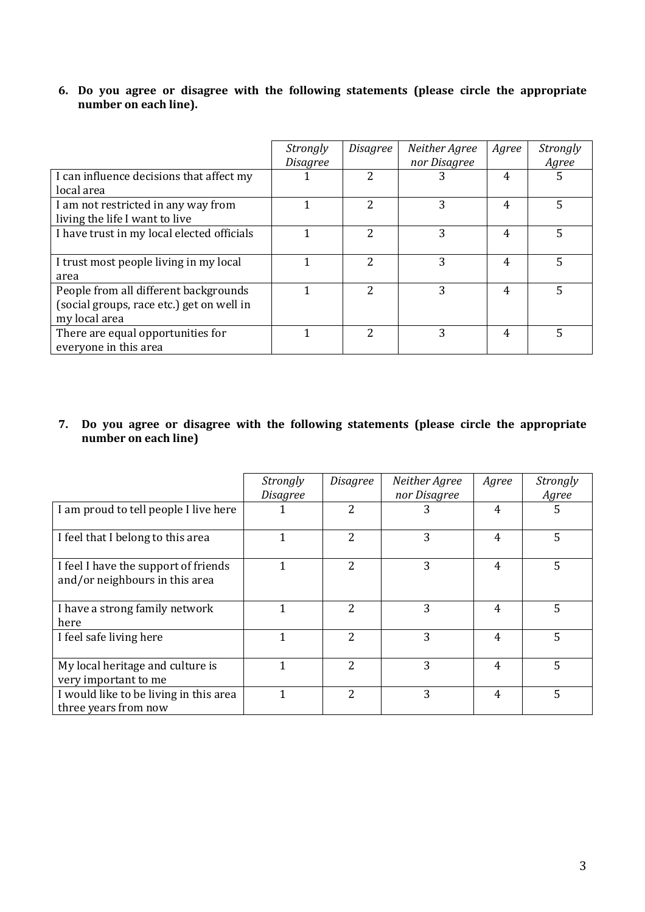#### **6. Do you agree or disagree with the following statements (please circle the appropriate number on each line).**

|                                                                                                     | Strongly<br>Disagree | Disagree      | Neither Agree<br>nor Disagree | Agree | <i>Strongly</i><br>Agree |
|-----------------------------------------------------------------------------------------------------|----------------------|---------------|-------------------------------|-------|--------------------------|
| I can influence decisions that affect my<br>local area                                              |                      | າ             | 3                             | 4     | 5                        |
| I am not restricted in any way from<br>living the life I want to live                               |                      | $\mathcal{P}$ | 3                             | 4     | 5                        |
| I have trust in my local elected officials                                                          |                      | $\mathcal{L}$ | 3                             | 4     | 5                        |
| I trust most people living in my local<br>area                                                      |                      | 2             | 3                             | 4     | 5                        |
| People from all different backgrounds<br>(social groups, race etc.) get on well in<br>my local area |                      | 2             | ζ                             | 4     | 5                        |
| There are equal opportunities for<br>everyone in this area                                          |                      | 2             | 3                             | 4     | 5                        |

## **7. Do you agree or disagree with the following statements (please circle the appropriate number on each line)**

|                                                                        | <i>Strongly</i><br><b>Disagree</b> | Disagree                 | Neither Agree<br>nor Disagree | Agree | <b>Strongly</b><br>Agree |
|------------------------------------------------------------------------|------------------------------------|--------------------------|-------------------------------|-------|--------------------------|
| I am proud to tell people I live here                                  |                                    | 2                        | 3                             | 4     | 5                        |
| I feel that I belong to this area                                      | 1                                  | $\mathcal{P}$            | 3                             | 4     | 5                        |
| I feel I have the support of friends<br>and/or neighbours in this area |                                    | 2                        | 3                             | 4     | 5                        |
| I have a strong family network<br>here                                 |                                    | $\overline{\mathcal{L}}$ | 3                             | 4     | 5                        |
| I feel safe living here                                                | 1                                  | $\overline{\mathcal{L}}$ | 3                             | 4     | 5                        |
| My local heritage and culture is<br>very important to me               |                                    | $\overline{\mathcal{L}}$ | 3                             | 4     | 5                        |
| I would like to be living in this area<br>three years from now         |                                    | $\overline{\mathcal{L}}$ | 3                             | 4     | 5                        |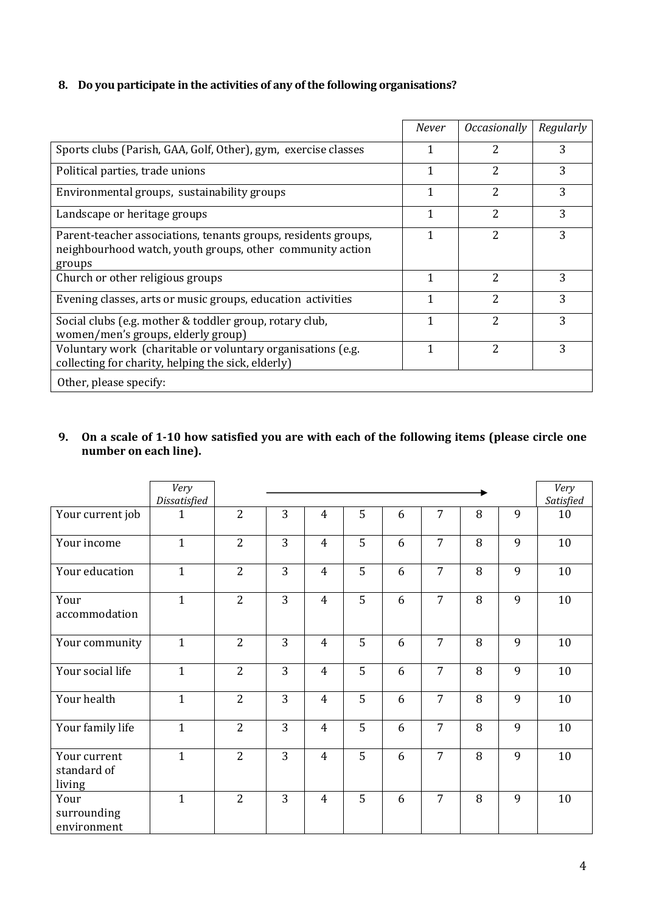## **8. Do you participate in the activities of any of the following organisations?**

|                                                                                                                                       | <b>Never</b> | <i><b>Occasionally</b></i> | Regularly |
|---------------------------------------------------------------------------------------------------------------------------------------|--------------|----------------------------|-----------|
| Sports clubs (Parish, GAA, Golf, Other), gym, exercise classes                                                                        | 1            | 2                          | 3         |
| Political parties, trade unions                                                                                                       | 1            | 2                          | 3         |
| Environmental groups, sustainability groups                                                                                           | 1            | 2                          | 3         |
| Landscape or heritage groups                                                                                                          | 1            | 2                          | 3         |
| Parent-teacher associations, tenants groups, residents groups,<br>neighbourhood watch, youth groups, other community action<br>groups | 1            | 2                          | 3         |
| Church or other religious groups                                                                                                      | 1            | 2                          | 3         |
| Evening classes, arts or music groups, education activities                                                                           | 1            | 2                          | 3         |
| Social clubs (e.g. mother & toddler group, rotary club,<br>women/men's groups, elderly group)                                         | 1            | 2                          | 3         |
| Voluntary work (charitable or voluntary organisations (e.g.<br>collecting for charity, helping the sick, elderly)                     | 1            | 2                          | 3         |
| Other, please specify:                                                                                                                |              |                            |           |

## **9. On a scale of 1-10 how satisfied you are with each of the following items (please circle one number on each line).**

|                                       | Very<br>Dissatisfied |                |   |                |   |   |                |   |   | Very<br>Satisfied |
|---------------------------------------|----------------------|----------------|---|----------------|---|---|----------------|---|---|-------------------|
| Your current job                      | $\mathbf{1}$         | $\overline{2}$ | 3 | $\overline{4}$ | 5 | 6 | $\overline{7}$ | 8 | 9 | 10                |
| Your income                           | $\mathbf{1}$         | $\overline{2}$ | 3 | $\overline{4}$ | 5 | 6 | $\overline{7}$ | 8 | 9 | 10                |
| Your education                        | $\mathbf{1}$         | 2              | 3 | $\overline{4}$ | 5 | 6 | $\overline{7}$ | 8 | 9 | 10                |
| Your<br>accommodation                 | $\mathbf{1}$         | $\overline{2}$ | 3 | $\overline{4}$ | 5 | 6 | $\overline{7}$ | 8 | 9 | 10                |
| Your community                        | $\mathbf{1}$         | $\overline{2}$ | 3 | $\overline{4}$ | 5 | 6 | $\overline{7}$ | 8 | 9 | 10                |
| Your social life                      | $\mathbf{1}$         | $\overline{2}$ | 3 | $\overline{4}$ | 5 | 6 | $\overline{7}$ | 8 | 9 | 10                |
| Your health                           | $\mathbf{1}$         | $\overline{2}$ | 3 | $\overline{4}$ | 5 | 6 | $\overline{7}$ | 8 | 9 | 10                |
| Your family life                      | $\mathbf{1}$         | $\overline{2}$ | 3 | $\overline{4}$ | 5 | 6 | $\overline{7}$ | 8 | 9 | 10                |
| Your current<br>standard of<br>living | $\mathbf{1}$         | $\overline{2}$ | 3 | $\overline{4}$ | 5 | 6 | $\overline{7}$ | 8 | 9 | 10                |
| Your<br>surrounding<br>environment    | $\mathbf{1}$         | $\overline{2}$ | 3 | $\overline{4}$ | 5 | 6 | $\overline{7}$ | 8 | 9 | 10                |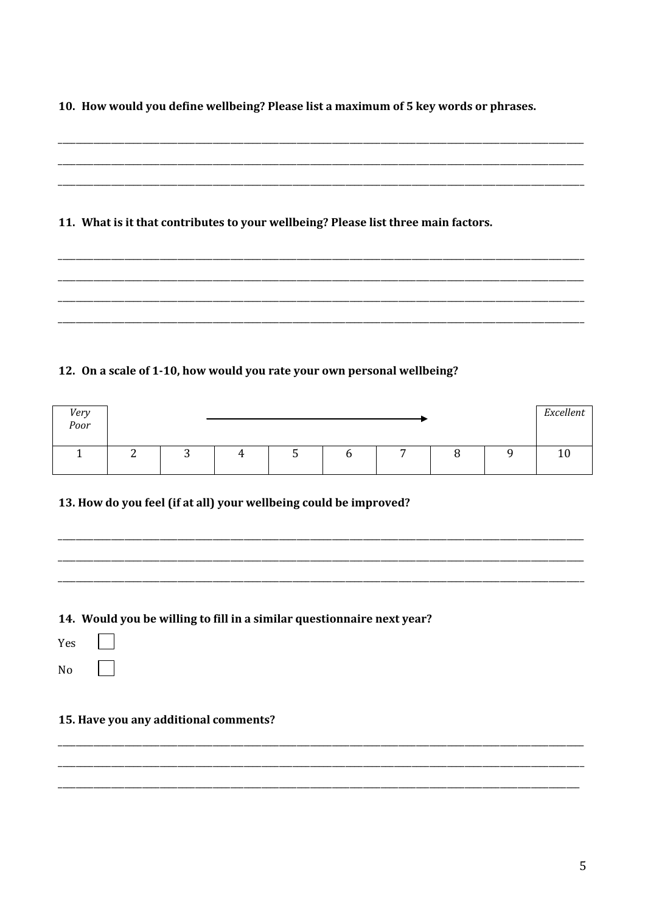10. How would you define wellbeing? Please list a maximum of 5 key words or phrases.

| 11. What is it that contributes to your wellbeing? Please list three main factors. |  |
|------------------------------------------------------------------------------------|--|
|                                                                                    |  |
|                                                                                    |  |

## 12. On a scale of 1-10, how would you rate your own personal wellbeing?

| Very<br>Poor |          |  |   |   |  | Excellent |
|--------------|----------|--|---|---|--|-----------|
|              | <b>.</b> |  | ັ | - |  |           |

13. How do you feel (if at all) your wellbeing could be improved?

## 14. Would you be willing to fill in a similar questionnaire next year?

Yes

 $\sqrt{2}$ 

 $No$ 

## 15. Have you any additional comments?